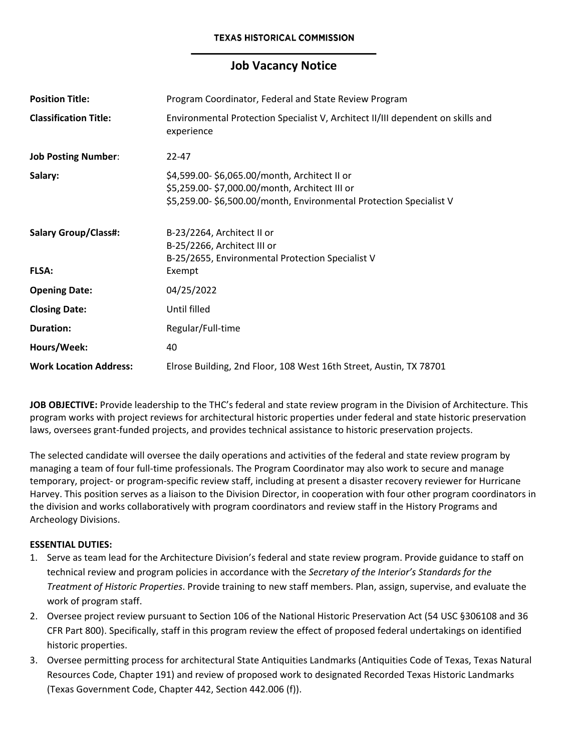# **Job Vacancy Notice**

| <b>Position Title:</b>        | Program Coordinator, Federal and State Review Program                                                                                                               |
|-------------------------------|---------------------------------------------------------------------------------------------------------------------------------------------------------------------|
| <b>Classification Title:</b>  | Environmental Protection Specialist V, Architect II/III dependent on skills and<br>experience                                                                       |
| <b>Job Posting Number:</b>    | $22 - 47$                                                                                                                                                           |
| Salary:                       | \$4,599.00-\$6,065.00/month, Architect II or<br>\$5,259.00-\$7,000.00/month, Architect III or<br>\$5,259.00-\$6,500.00/month, Environmental Protection Specialist V |
| <b>Salary Group/Class#:</b>   | B-23/2264, Architect II or<br>B-25/2266, Architect III or<br>B-25/2655, Environmental Protection Specialist V                                                       |
| <b>FLSA:</b>                  | Exempt                                                                                                                                                              |
| <b>Opening Date:</b>          | 04/25/2022                                                                                                                                                          |
| <b>Closing Date:</b>          | Until filled                                                                                                                                                        |
| <b>Duration:</b>              | Regular/Full-time                                                                                                                                                   |
| Hours/Week:                   | 40                                                                                                                                                                  |
| <b>Work Location Address:</b> | Elrose Building, 2nd Floor, 108 West 16th Street, Austin, TX 78701                                                                                                  |

**JOB OBJECTIVE:** Provide leadership to the THC's federal and state review program in the Division of Architecture. This program works with project reviews for architectural historic properties under federal and state historic preservation laws, oversees grant-funded projects, and provides technical assistance to historic preservation projects.

The selected candidate will oversee the daily operations and activities of the federal and state review program by managing a team of four full-time professionals. The Program Coordinator may also work to secure and manage temporary, project- or program-specific review staff, including at present a disaster recovery reviewer for Hurricane Harvey. This position serves as a liaison to the Division Director, in cooperation with four other program coordinators in the division and works collaboratively with program coordinators and review staff in the History Programs and Archeology Divisions.

#### **ESSENTIAL DUTIES:**

- 1. Serve as team lead for the Architecture Division's federal and state review program. Provide guidance to staff on technical review and program policies in accordance with the *Secretary of the Interior's Standards for the Treatment of Historic Properties*. Provide training to new staff members. Plan, assign, supervise, and evaluate the work of program staff.
- 2. Oversee project review pursuant to Section 106 of the National Historic Preservation Act (54 USC §306108 and 36 CFR Part 800). Specifically, staff in this program review the effect of proposed federal undertakings on identified historic properties.
- 3. Oversee permitting process for architectural State Antiquities Landmarks (Antiquities Code of Texas, Texas Natural Resources Code, Chapter 191) and review of proposed work to designated Recorded Texas Historic Landmarks (Texas Government Code, Chapter 442, Section 442.006 (f)).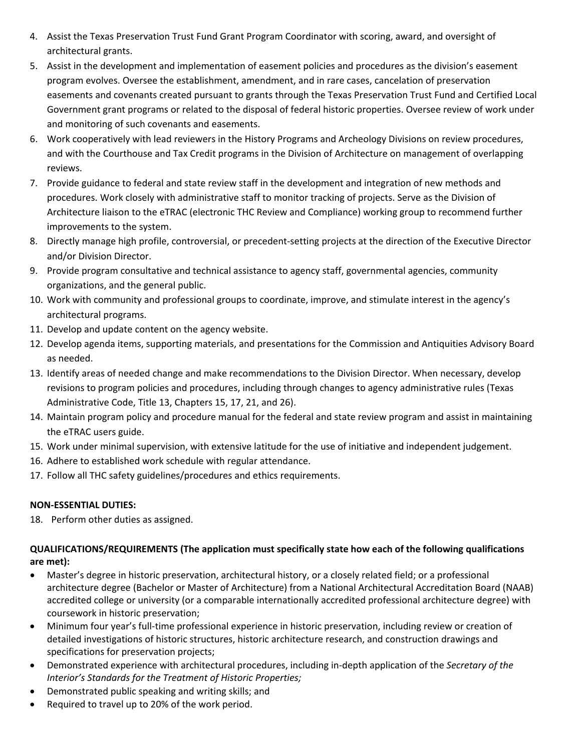- 4. Assist the Texas Preservation Trust Fund Grant Program Coordinator with scoring, award, and oversight of architectural grants.
- 5. Assist in the development and implementation of easement policies and procedures as the division's easement program evolves. Oversee the establishment, amendment, and in rare cases, cancelation of preservation easements and covenants created pursuant to grants through the Texas Preservation Trust Fund and Certified Local Government grant programs or related to the disposal of federal historic properties. Oversee review of work under and monitoring of such covenants and easements.
- 6. Work cooperatively with lead reviewers in the History Programs and Archeology Divisions on review procedures, and with the Courthouse and Tax Credit programs in the Division of Architecture on management of overlapping reviews.
- 7. Provide guidance to federal and state review staff in the development and integration of new methods and procedures. Work closely with administrative staff to monitor tracking of projects. Serve as the Division of Architecture liaison to the eTRAC (electronic THC Review and Compliance) working group to recommend further improvements to the system.
- 8. Directly manage high profile, controversial, or precedent-setting projects at the direction of the Executive Director and/or Division Director.
- 9. Provide program consultative and technical assistance to agency staff, governmental agencies, community organizations, and the general public.
- 10. Work with community and professional groups to coordinate, improve, and stimulate interest in the agency's architectural programs.
- 11. Develop and update content on the agency website.
- 12. Develop agenda items, supporting materials, and presentations for the Commission and Antiquities Advisory Board as needed.
- 13. Identify areas of needed change and make recommendations to the Division Director. When necessary, develop revisions to program policies and procedures, including through changes to agency administrative rules (Texas Administrative Code, Title 13, Chapters 15, 17, 21, and 26).
- 14. Maintain program policy and procedure manual for the federal and state review program and assist in maintaining the eTRAC users guide.
- 15. Work under minimal supervision, with extensive latitude for the use of initiative and independent judgement.
- 16. Adhere to established work schedule with regular attendance.
- 17. Follow all THC safety guidelines/procedures and ethics requirements.

## **NON-ESSENTIAL DUTIES:**

18. Perform other duties as assigned.

### **QUALIFICATIONS/REQUIREMENTS (The application must specifically state how each of the following qualifications are met):**

- Master's degree in historic preservation, architectural history, or a closely related field; or a professional architecture degree (Bachelor or Master of Architecture) from a National Architectural Accreditation Board (NAAB) accredited college or university (or a comparable internationally accredited professional architecture degree) with coursework in historic preservation;
- Minimum four year's full-time professional experience in historic preservation, including review or creation of detailed investigations of historic structures, historic architecture research, and construction drawings and specifications for preservation projects;
- Demonstrated experience with architectural procedures, including in-depth application of the *Secretary of the Interior's Standards for the Treatment of Historic Properties;*
- Demonstrated public speaking and writing skills; and
- Required to travel up to 20% of the work period.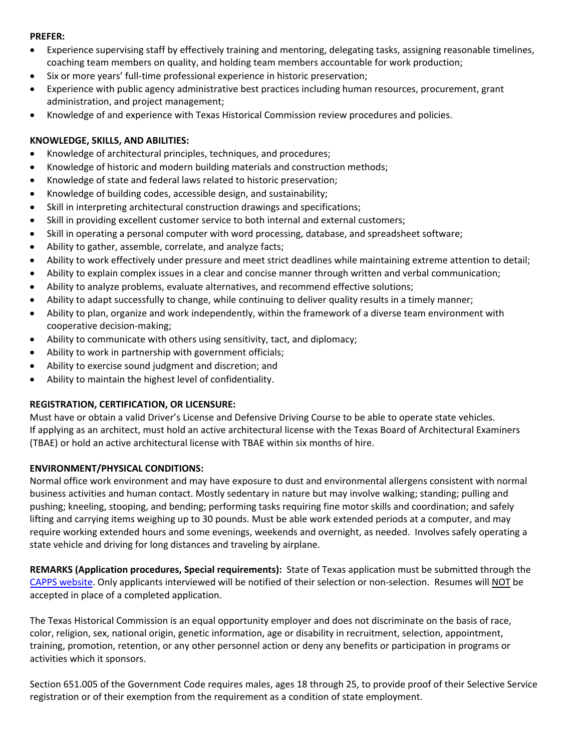#### **PREFER:**

- Experience supervising staff by effectively training and mentoring, delegating tasks, assigning reasonable timelines, coaching team members on quality, and holding team members accountable for work production;
- Six or more years' full-time professional experience in historic preservation;
- Experience with public agency administrative best practices including human resources, procurement, grant administration, and project management;
- Knowledge of and experience with Texas Historical Commission review procedures and policies.

#### **KNOWLEDGE, SKILLS, AND ABILITIES:**

- Knowledge of architectural principles, techniques, and procedures;
- Knowledge of historic and modern building materials and construction methods;
- Knowledge of state and federal laws related to historic preservation;
- Knowledge of building codes, accessible design, and sustainability;
- Skill in interpreting architectural construction drawings and specifications;
- Skill in providing excellent customer service to both internal and external customers;
- Skill in operating a personal computer with word processing, database, and spreadsheet software;
- Ability to gather, assemble, correlate, and analyze facts;
- Ability to work effectively under pressure and meet strict deadlines while maintaining extreme attention to detail;
- Ability to explain complex issues in a clear and concise manner through written and verbal communication;
- Ability to analyze problems, evaluate alternatives, and recommend effective solutions;
- Ability to adapt successfully to change, while continuing to deliver quality results in a timely manner;
- Ability to plan, organize and work independently, within the framework of a diverse team environment with cooperative decision-making;
- Ability to communicate with others using sensitivity, tact, and diplomacy;
- Ability to work in partnership with government officials;
- Ability to exercise sound judgment and discretion; and
- Ability to maintain the highest level of confidentiality.

#### **REGISTRATION, CERTIFICATION, OR LICENSURE:**

Must have or obtain a valid Driver's License and Defensive Driving Course to be able to operate state vehicles. If applying as an architect, must hold an active architectural license with the Texas Board of Architectural Examiners (TBAE) or hold an active architectural license with TBAE within six months of hire.

#### **ENVIRONMENT/PHYSICAL CONDITIONS:**

Normal office work environment and may have exposure to dust and environmental allergens consistent with normal business activities and human contact. Mostly sedentary in nature but may involve walking; standing; pulling and pushing; kneeling, stooping, and bending; performing tasks requiring fine motor skills and coordination; and safely lifting and carrying items weighing up to 30 pounds. Must be able work extended periods at a computer, and may require working extended hours and some evenings, weekends and overnight, as needed. Involves safely operating a state vehicle and driving for long distances and traveling by airplane.

**REMARKS (Application procedures, Special requirements):** State of Texas application must be submitted through the CAPPS [website.](https://capps.taleo.net/careersection/808/jobsearch.ftl?lang=en) Only applicants interviewed will be notified of their selection or non-selection. Resumes will NOT be accepted in place of a completed application.

The Texas Historical Commission is an equal opportunity employer and does not discriminate on the basis of race, color, religion, sex, national origin, genetic information, age or disability in recruitment, selection, appointment, training, promotion, retention, or any other personnel action or deny any benefits or participation in programs or activities which it sponsors.

Section 651.005 of the Government Code requires males, ages 18 through 25, to provide proof of their Selective Service registration or of their exemption from the requirement as a condition of state employment.